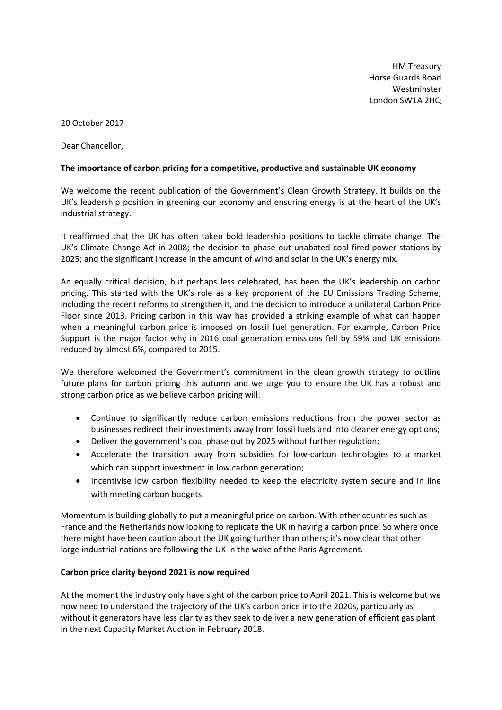HM Treasury Horse Guards Road Westminster London SW1A 2HQ

20 October 2017

Dear Chancellor,

## **The importance of carbon pricing for a competitive, productive and sustainable UK economy**

We welcome the recent publication of the Government's Clean Growth Strategy. It builds on the UK's leadership position in greening our economy and ensuring energy is at the heart of the UK's industrial strategy.

It reaffirmed that the UK has often taken bold leadership positions to tackle climate change. The UK's Climate Change Act in 2008; the decision to phase out unabated coal-fired power stations by 2025; and the significant increase in the amount of wind and solar in the UK's energy mix.

An equally critical decision, but perhaps less celebrated, has been the UK's leadership on carbon pricing. This started with the UK's role as a key proponent of the EU Emissions Trading Scheme, including the recent reforms to strengthen it, and the decision to introduce a unilateral Carbon Price Floor since 2013. Pricing carbon in this way has provided a striking example of what can happen when a meaningful carbon price is imposed on fossil fuel generation. For example, Carbon Price Support is the major factor why in 2016 coal generation emissions fell by 59% and UK emissions reduced by almost 6%, compared to 2015.

We therefore welcomed the Government's commitment in the clean growth strategy to outline future plans for carbon pricing this autumn and we urge you to ensure the UK has a robust and strong carbon price as we believe carbon pricing will:

- Continue to significantly reduce carbon emissions reductions from the power sector as businesses redirect their investments away from fossil fuels and into cleaner energy options;
- Deliver the government's coal phase out by 2025 without further regulation;
- Accelerate the transition away from subsidies for low-carbon technologies to a market which can support investment in low carbon generation;
- Incentivise low carbon flexibility needed to keep the electricity system secure and in line with meeting carbon budgets.

Momentum is building globally to put a meaningful price on carbon. With other countries such as France and the Netherlands now looking to replicate the UK in having a carbon price. So where once there might have been caution about the UK going further than others; it's now clear that other large industrial nations are following the UK in the wake of the Paris Agreement.

## **Carbon price clarity beyond 2021 is now required**

At the moment the industry only have sight of the carbon price to April 2021. This is welcome but we now need to understand the trajectory of the UK's carbon price into the 2020s, particularly as without it generators have less clarity as they seek to deliver a new generation of efficient gas plant in the next Capacity Market Auction in February 2018.